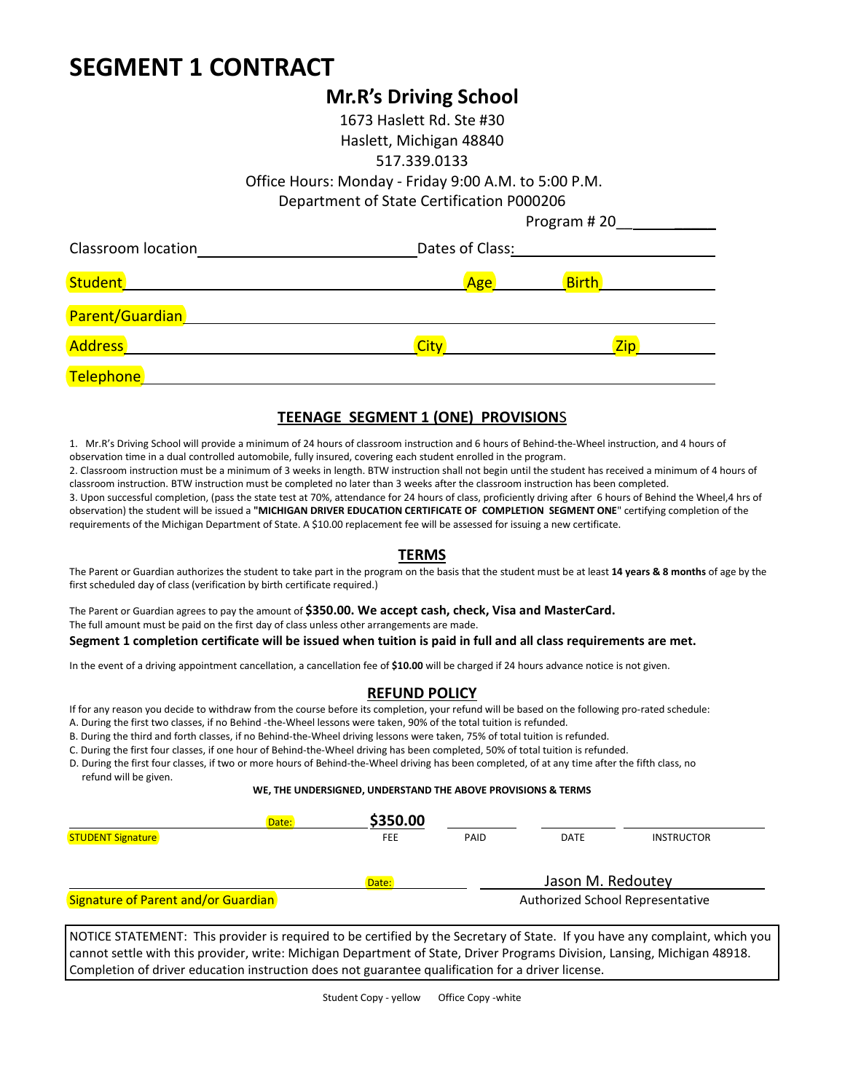# **SEGMENT 1 CONTRACT**

## **Mr.R's Driving School**

1673 Haslett Rd. Ste #30 Haslett, Michigan 48840 517.339.0133 Office Hours: Monday - Friday 9:00 A.M. to 5:00 P.M. Department of State Certification P000206 Program #20

| Classroom location | Dates of Class: |              |  |  |
|--------------------|-----------------|--------------|--|--|
|                    | Age             | <b>Birth</b> |  |  |
| Parent/Guardian    |                 |              |  |  |
| Address            | <b>City</b>     | <b>Zip</b>   |  |  |
| Telephone          |                 |              |  |  |

#### **TEENAGE SEGMENT 1 (ONE) PROVISION**S

1. Mr.R's Driving School will provide a minimum of 24 hours of classroom instruction and 6 hours of Behind-the-Wheel instruction, and 4 hours of observation time in a dual controlled automobile, fully insured, covering each student enrolled in the program.

2. Classroom instruction must be a minimum of 3 weeks in length. BTW instruction shall not begin until the student has received a minimum of 4 hours of classroom instruction. BTW instruction must be completed no later than 3 weeks after the classroom instruction has been completed.

3. Upon successful completion, (pass the state test at 70%, attendance for 24 hours of class, proficiently driving after 6 hours of Behind the Wheel,4 hrs of observation) the student will be issued a **"MICHIGAN DRIVER EDUCATION CERTIFICATE OF COMPLETION SEGMENT ONE**" certifying completion of the requirements of the Michigan Department of State. A \$10.00 replacement fee will be assessed for issuing a new certificate.

#### **TERMS**

The Parent or Guardian authorizes the student to take part in the program on the basis that the student must be at least **14 years & 8 months** of age by the first scheduled day of class (verification by birth certificate required.)

The Parent or Guardian agrees to pay the amount of **\$350.00. We accept cash, check, Visa and MasterCard.**  The full amount must be paid on the first day of class unless other arrangements are made. **Segment 1 completion certificate will be issued when tuition is paid in full and all class requirements are met.**

In the event of a driving appointment cancellation, a cancellation fee of **\$10.00** will be charged if 24 hours advance notice is not given.

#### **REFUND POLICY**

If for any reason you decide to withdraw from the course before its completion, your refund will be based on the following pro-rated schedule:

A. During the first two classes, if no Behind -the-Wheel lessons were taken, 90% of the total tuition is refunded.

B. During the third and forth classes, if no Behind-the-Wheel driving lessons were taken, 75% of total tuition is refunded.

C. During the first four classes, if one hour of Behind-the-Wheel driving has been completed, 50% of total tuition is refunded.

D. During the first four classes, if two or more hours of Behind-the-Wheel driving has been completed, of at any time after the fifth class, no refund will be given.

#### **WE, THE UNDERSIGNED, UNDERSTAND THE ABOVE PROVISIONS & TERMS**

| Date:                               | \$350.00   |      |                                  |                   |  |
|-------------------------------------|------------|------|----------------------------------|-------------------|--|
| <b>STUDENT Signature</b>            | <b>FEE</b> | PAID | DATE                             | <b>INSTRUCTOR</b> |  |
|                                     | Date:      |      | Jason M. Redoutey                |                   |  |
| Signature of Parent and/or Guardian |            |      | Authorized School Representative |                   |  |

NOTICE STATEMENT: This provider is required to be certified by the Secretary of State. If you have any complaint, which you cannot settle with this provider, write: Michigan Department of State, Driver Programs Division, Lansing, Michigan 48918. Completion of driver education instruction does not guarantee qualification for a driver license.